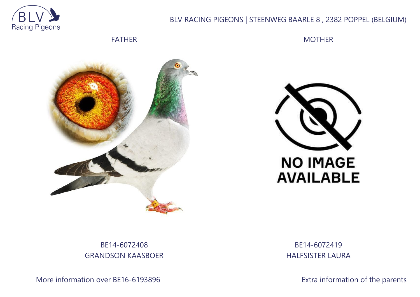

## BLV RACING PIGEONS | STEENWEG BAARLE 8 , 2382 POPPEL (BELGIUM)

FATHER

MOTHER





## BE14-6072408 GRANDSON KAASBOER

More information over BE16-6193896 **Extra information of the parents** 

BE14-6072419 HALFSISTER LAURA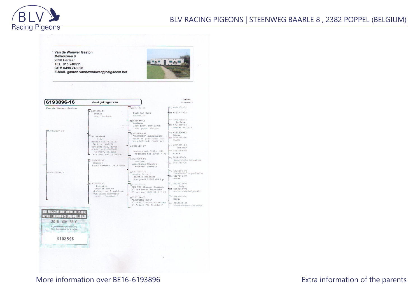

Van de Wouwer Gaston Melkouwen 8 2590 Berlaar TEL 015.240511 GSM 0498.243028 E-MAIL gaston.vandewouwer@belgacom.net

 $-18$ 





## More information over BE16-6193896 More information of the parents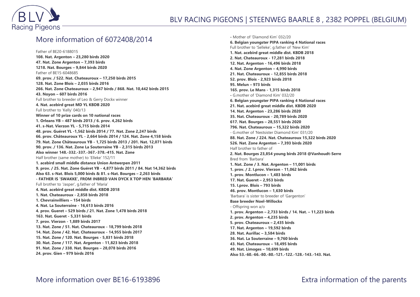

## More information of 6072408/2014

Father of BE20-6188015 **108. Nat. Argenton – 23,280 birds 2020 47. Nat. Zone Argenton – 7,393 birds 1218. Nat. Bourges – 9,844 birds 2020** Father of BE15-6048685 **69. prov. / 522. Nat. Chateauroux – 17,250 birds 2015 128. Nat. Zone Blois – 2,035 birds 2016 266. Nat. Zone Chateauroux – 2,947 birds / 868. Nat. 10,442 birds 2015 43. Noyon – 607 birds 2016** Full brother to breeder of Leo & Gerry Dockx winner **4. Nat. acebird great MD YL KBDB 2020** Full brother to 'Kelly' 040/13 **Winner of 10 prize cards on 10 national races 1. Orleans YB – 487 birds 2013 / 6. prov. 4,262 birds 41. s-Nat. Vierzon YL - 5,715 birds 2014 48. prov. Guéret YL -1,562 birds 2014 / 77. Nat. Zone 2,247 birds 66. prov. Châteauroux YL - 2,664 birds 2014 / 124. Nat. Zone 4,158 birds 79. Nat. Zone Châteauroux YB - 1,725 birds 2013 / 201. Nat. 12,071 birds 90. prov. / 136. Nat. Zone La Souterraine YB - 2,315 birds 2013 Also winner 148.-332.-337.-367.-378.-415. Nat. Zone** Half brother (same mother) to 'Elleke' 152/11 **1. acebird small middle distance Union Antwerpen 2011 9. prov. / 25. Nat. Zone Guéret YB - 4,877 birds 2011 / 84. Nat 14,362 birds Also 63. s-Nat. Blois 5,000 birds & 81. s-Nat. Bourges – 2,263 birds - FATHER IS 'SWAKKE', FROM INBRED VAN DYCK X TOP HEN 'BARBARA'** Full brother to 'Jasper', g.father of 'Maria' **4. Nat. acebird great middle dist. KBDB 2018 1. Nat. Chateauroux - 2,858 birds 2018 1. Chevrainvilliers – 154 birds 4. Nat. La Souterraine - 16,613 birds 2016 4. prov. Gueret – 529 birds / 21. Nat. Zone 1,478 birds 2018 163. Nat. Gueret - 5,331 birds 7. prov. Vierzon - 1,889 birds 2017 13. Nat. Zone / 51. Nat. Chateauroux - 18,799 birds 2018 14. Nat. Zone / 42. Nat. Chateauroux - 14,955 birds 2017 15. Nat. Zone / 120. Nat. Bourges - 5,831 birds 2018 30. Nat. Zone / 117. Nat. Argenton - 11,823 birds 2018 91. Nat. Zone / 338. Nat. Bourges – 28,078 birds 2016 24. prov. Gien – 979 birds 2016**

**-** Mother of 'Diamond Kim' 032/20 **6. Belgian youngster PIPA ranking 4 National races** Full brother to 'Selleke', g.father of 'New Kim' **1. Nat. acebird great middle dist. KBDB 2018 2. Nat. Chateauroux - 17,281 birds 2018 12. Nat. Argenton - 16,496 birds 2018 4. Nat. Zone Argenton – 4,990 birds 21. Nat. Chateauroux - 12,855 birds 2018 52. prov. Blois - 2,923 birds 2018 95. Melun – 973 birds 165. prov. Le Mans - 1,315 birds 2018 -** G.mother of 'Diamond Kim' 032/20 **6. Belgian youngster PIPA ranking 4 National races 21. Nat. acebird great middle dist. KBDB 2020 14. Nat. Argenton - 23,286 birds 2020 35. Nat. Chateauroux - 20,789 birds 2020 617. Nat. Bourges – 28,551 birds 2020 796. Nat. Chateauroux – 15,322 birds 2020** - G.mother of 'Nestsister Diamond Kim' 031/20 **88. Nat. Zone / 224. Nat. Chateauroux 15,322 birds 2020 526. Nat. Zone Argenton – 7,393 birds 2020** Half brother to father of **2. Nat. Bourges 23,854 young birds 2018 @Vanhoudt-Serre** Bred from 'Barbara' **1. Nat. Zone / 3. Nat. Argenton – 11,001 birds 1. prov. / 2. I.prov. Vierzon - 11,062 birds 1. prov. Montlucon – 1,483 birds 17. Nat. Gueret – 2,953 birds 15. I.prov. Blois – 793 birds 46. prov. Montlucon – 1,630 birds** 'Barbara' is sister to breeder of 'Gargenton' **Base breeder Noel-Willockx** - Offspring won a/o **1. prov. Argenton – 2,733 birds / 14. Nat. – 11,223 birds 2. prov. Argenton – 4,235 birds 5. prov. Chateauroux – 2,435 birds 17. Nat. Argenton – 19,592 birds 28. Nat. Aurillac – 3,584 birds 36. Nat. La Souterraine – 9,760 birds 43. Nat. Chateauroux – 18,495 birds 49. Nat. Limoges – 10,699 birds Also 53.-60.-66.-80.-80.-121.-122.-128.-143.-143. Nat.**